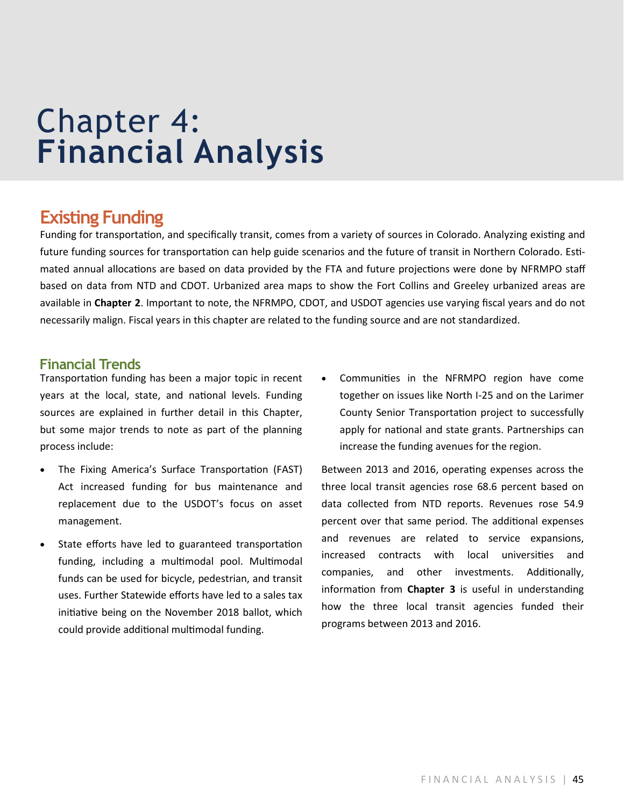# Chapter 4: **Financial Analysis**

# **Existing Funding**

Funding for transportation, and specifically transit, comes from a variety of sources in Colorado. Analyzing existing and future funding sources for transportation can help guide scenarios and the future of transit in Northern Colorado. Estimated annual allocations are based on data provided by the FTA and future projections were done by NFRMPO staff based on data from NTD and CDOT. Urbanized area maps to show the Fort Collins and Greeley urbanized areas are available in **Chapter 2**. Important to note, the NFRMPO, CDOT, and USDOT agencies use varying fiscal years and do not necessarily malign. Fiscal years in this chapter are related to the funding source and are not standardized.

### **Financial Trends**

Transportation funding has been a major topic in recent years at the local, state, and national levels. Funding sources are explained in further detail in this Chapter, but some major trends to note as part of the planning process include:

- The Fixing America's Surface Transportation (FAST) Act increased funding for bus maintenance and replacement due to the USDOT's focus on asset management.
- State efforts have led to guaranteed transportation funding, including a multimodal pool. Multimodal funds can be used for bicycle, pedestrian, and transit uses. Further Statewide efforts have led to a sales tax initiative being on the November 2018 ballot, which could provide additional multimodal funding.

• Communities in the NFRMPO region have come together on issues like North I-25 and on the Larimer County Senior Transportation project to successfully apply for national and state grants. Partnerships can increase the funding avenues for the region.

Between 2013 and 2016, operating expenses across the three local transit agencies rose 68.6 percent based on data collected from NTD reports. Revenues rose 54.9 percent over that same period. The additional expenses and revenues are related to service expansions, increased contracts with local universities and companies, and other investments. Additionally, information from **Chapter 3** is useful in understanding how the three local transit agencies funded their programs between 2013 and 2016.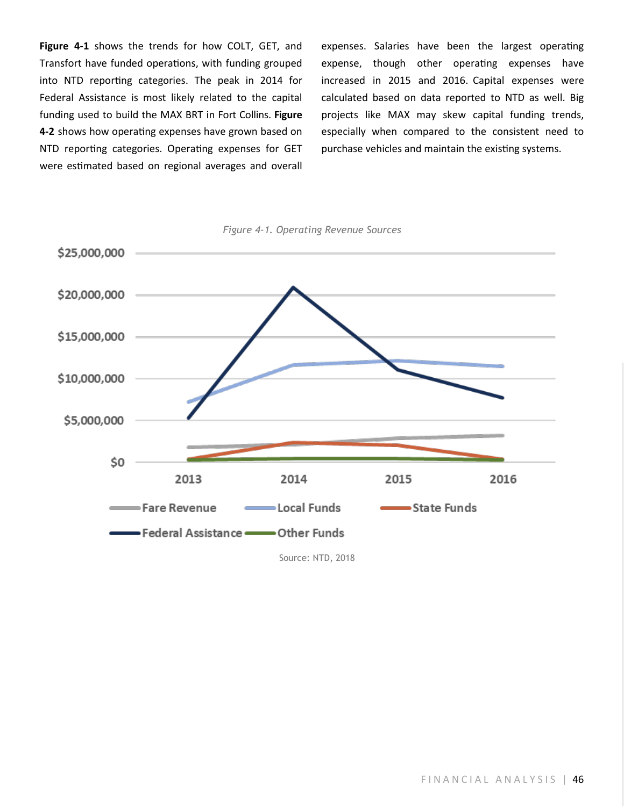**Figure 4-1** shows the trends for how COLT, GET, and Transfort have funded operations, with funding grouped into NTD reporting categories. The peak in 2014 for Federal Assistance is most likely related to the capital funding used to build the MAX BRT in Fort Collins. **Figure 4-2** shows how operating expenses have grown based on NTD reporting categories. Operating expenses for GET were estimated based on regional averages and overall expenses. Salaries have been the largest operating expense, though other operating expenses have increased in 2015 and 2016. Capital expenses were calculated based on data reported to NTD as well. Big projects like MAX may skew capital funding trends, especially when compared to the consistent need to purchase vehicles and maintain the existing systems.



*Figure 4-1. Operating Revenue Sources*

Source: NTD, 2018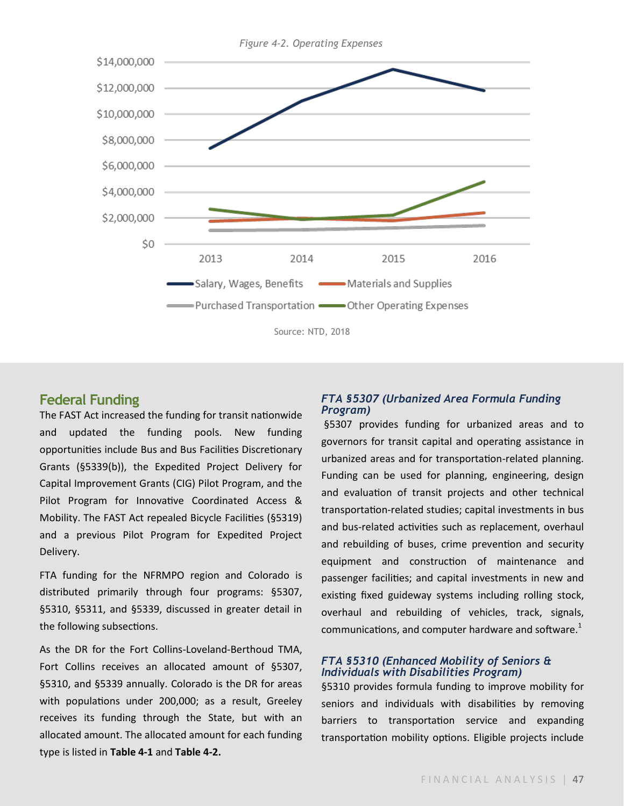

#### **Federal Funding**

The FAST Act increased the funding for transit nationwide and updated the funding pools. New funding opportunities include Bus and Bus Facilities Discretionary Grants (§5339(b)), the Expedited Project Delivery for Capital Improvement Grants (CIG) Pilot Program, and the Pilot Program for Innovative Coordinated Access & Mobility. The FAST Act repealed Bicycle Facilities (§5319) and a previous Pilot Program for Expedited Project Delivery.

FTA funding for the NFRMPO region and Colorado is distributed primarily through four programs: §5307, §5310, §5311, and §5339, discussed in greater detail in the following subsections.

As the DR for the Fort Collins-Loveland-Berthoud TMA, Fort Collins receives an allocated amount of §5307, §5310, and §5339 annually. Colorado is the DR for areas with populations under 200,000; as a result, Greeley receives its funding through the State, but with an allocated amount. The allocated amount for each funding type is listed in **Table 4-1** and **Table 4-2.**

#### *FTA §5307 (Urbanized Area Formula Funding Program)*

§5307 provides funding for urbanized areas and to governors for transit capital and operating assistance in urbanized areas and for transportation-related planning. Funding can be used for planning, engineering, design and evaluation of transit projects and other technical transportation-related studies; capital investments in bus and bus-related activities such as replacement, overhaul and rebuilding of buses, crime prevention and security equipment and construction of maintenance and passenger facilities; and capital investments in new and existing fixed guideway systems including rolling stock, overhaul and rebuilding of vehicles, track, signals, communications, and computer hardware and software. $1$ 

#### *FTA §5310 (Enhanced Mobility of Seniors & Individuals with Disabilities Program)*

§5310 provides formula funding to improve mobility for seniors and individuals with disabilities by removing barriers to transportation service and expanding transportation mobility options. Eligible projects include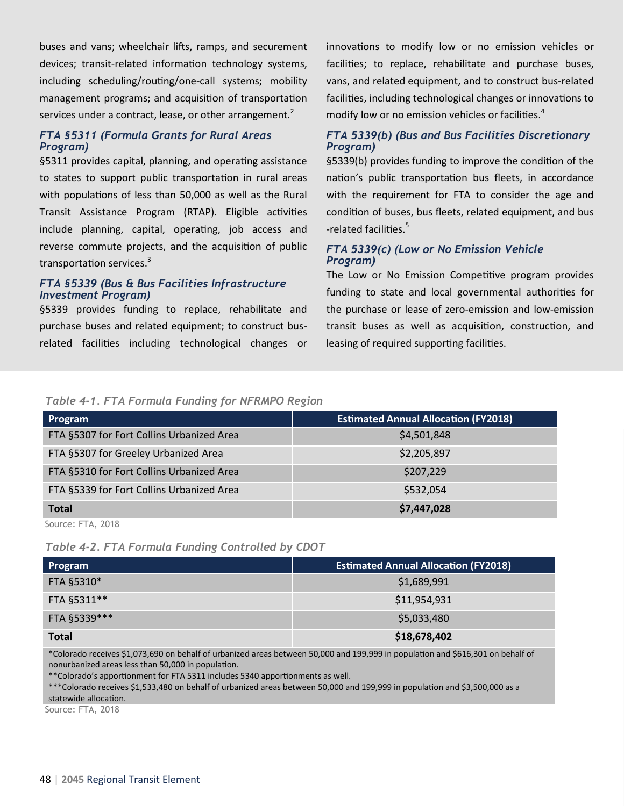buses and vans; wheelchair lifts, ramps, and securement devices; transit-related information technology systems, including scheduling/routing/one-call systems; mobility management programs; and acquisition of transportation services under a contract, lease, or other arrangement.<sup>2</sup>

#### *FTA §5311 (Formula Grants for Rural Areas Program)*

§5311 provides capital, planning, and operating assistance to states to support public transportation in rural areas with populations of less than 50,000 as well as the Rural Transit Assistance Program (RTAP). Eligible activities include planning, capital, operating, job access and reverse commute projects, and the acquisition of public transportation services.<sup>3</sup>

#### *FTA §5339 (Bus & Bus Facilities Infrastructure Investment Program)*

§5339 provides funding to replace, rehabilitate and purchase buses and related equipment; to construct busrelated facilities including technological changes or innovations to modify low or no emission vehicles or facilities; to replace, rehabilitate and purchase buses, vans, and related equipment, and to construct bus-related facilities, including technological changes or innovations to modify low or no emission vehicles or facilities.<sup>4</sup>

#### *FTA 5339(b) (Bus and Bus Facilities Discretionary Program)*

§5339(b) provides funding to improve the condition of the nation's public transportation bus fleets, in accordance with the requirement for FTA to consider the age and condition of buses, bus fleets, related equipment, and bus -related facilities.<sup>5</sup>

#### *FTA 5339(c) (Low or No Emission Vehicle Program)*

The Low or No Emission Competitive program provides funding to state and local governmental authorities for the purchase or lease of zero-emission and low-emission transit buses as well as acquisition, construction, and leasing of required supporting facilities.

#### *Table 4-1. FTA Formula Funding for NFRMPO Region*

| Program                                   | <b>Estimated Annual Allocation (FY2018)</b> |
|-------------------------------------------|---------------------------------------------|
| FTA §5307 for Fort Collins Urbanized Area | \$4,501,848                                 |
| FTA §5307 for Greeley Urbanized Area      | \$2,205,897                                 |
| FTA §5310 for Fort Collins Urbanized Area | \$207,229                                   |
| FTA §5339 for Fort Collins Urbanized Area | \$532,054                                   |
| <b>Total</b>                              | \$7,447,028                                 |

Source: FTA, 2018

*Table 4-2. FTA Formula Funding Controlled by CDOT*

| Program       | <b>Estimated Annual Allocation (FY2018)</b> |
|---------------|---------------------------------------------|
| FTA §5310*    | \$1,689,991                                 |
| FTA §5311**   | \$11,954,931                                |
| FTA §5339 *** | \$5,033,480                                 |
| <b>Total</b>  | \$18,678,402                                |

\*Colorado receives \$1,073,690 on behalf of urbanized areas between 50,000 and 199,999 in population and \$616,301 on behalf of nonurbanized areas less than 50,000 in population.

\*\*Colorado's apportionment for FTA 5311 includes 5340 apportionments as well.

\*\*\*Colorado receives \$1,533,480 on behalf of urbanized areas between 50,000 and 199,999 in population and \$3,500,000 as a statewide allocation.

Source: FTA, 2018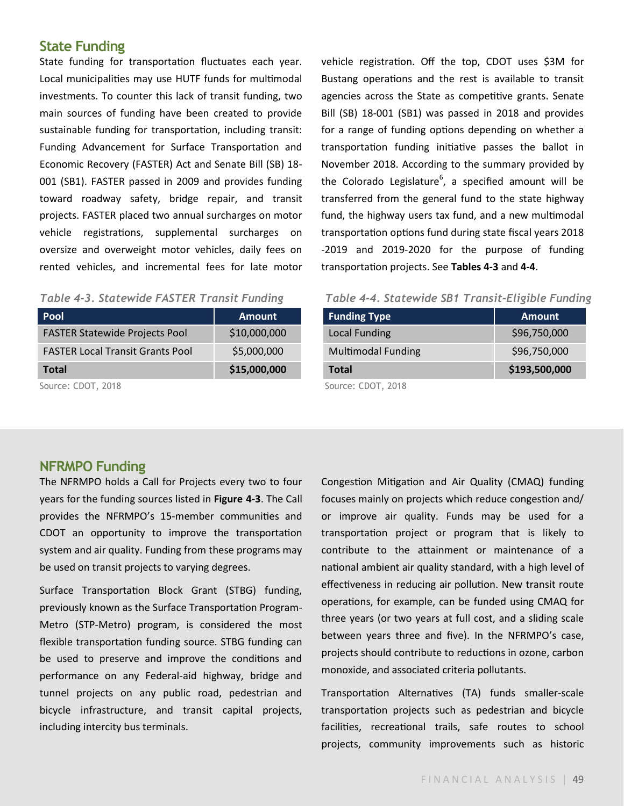### **State Funding**

State funding for transportation fluctuates each year. Local municipalities may use HUTF funds for multimodal investments. To counter this lack of transit funding, two main sources of funding have been created to provide sustainable funding for transportation, including transit: Funding Advancement for Surface Transportation and Economic Recovery (FASTER) Act and Senate Bill (SB) 18- 001 (SB1). FASTER passed in 2009 and provides funding toward roadway safety, bridge repair, and transit projects. FASTER placed two annual surcharges on motor vehicle registrations, supplemental surcharges on oversize and overweight motor vehicles, daily fees on rented vehicles, and incremental fees for late motor

#### *Table 4-3. Statewide FASTER Transit Funding*

| <b>Pool</b>                             | <b>Amount</b> |
|-----------------------------------------|---------------|
| <b>FASTER Statewide Projects Pool</b>   | \$10,000,000  |
| <b>FASTER Local Transit Grants Pool</b> | \$5,000,000   |
| <b>Total</b>                            | \$15,000,000  |
|                                         |               |

Source: CDOT, 2018

vehicle registration. Off the top, CDOT uses \$3M for Bustang operations and the rest is available to transit agencies across the State as competitive grants. Senate Bill (SB) 18-001 (SB1) was passed in 2018 and provides for a range of funding options depending on whether a transportation funding initiative passes the ballot in November 2018. According to the summary provided by the Colorado Legislature<sup>6</sup>, a specified amount will be transferred from the general fund to the state highway fund, the highway users tax fund, and a new multimodal transportation options fund during state fiscal years 2018 -2019 and 2019-2020 for the purpose of funding transportation projects. See **Tables 4-3** and **4-4**.

#### *Table 4-4. Statewide SB1 Transit-Eligible Funding*

| <b>Funding Type</b>       | <b>Amount</b> |  |
|---------------------------|---------------|--|
| <b>Local Funding</b>      | \$96,750,000  |  |
| <b>Multimodal Funding</b> | \$96,750,000  |  |
| <b>Total</b>              | \$193,500,000 |  |
| $SOMrr0$ CDOT $2018$      |               |  |

Source: CDOT, 2018

#### **NFRMPO Funding**

The NFRMPO holds a Call for Projects every two to four years for the funding sources listed in **Figure 4-3**. The Call provides the NFRMPO's 15-member communities and CDOT an opportunity to improve the transportation system and air quality. Funding from these programs may be used on transit projects to varying degrees.

Surface Transportation Block Grant (STBG) funding, previously known as the Surface Transportation Program-Metro (STP-Metro) program, is considered the most flexible transportation funding source. STBG funding can be used to preserve and improve the conditions and performance on any Federal-aid highway, bridge and tunnel projects on any public road, pedestrian and bicycle infrastructure, and transit capital projects, including intercity bus terminals.

Congestion Mitigation and Air Quality (CMAQ) funding focuses mainly on projects which reduce congestion and/ or improve air quality. Funds may be used for a transportation project or program that is likely to contribute to the attainment or maintenance of a national ambient air quality standard, with a high level of effectiveness in reducing air pollution. New transit route operations, for example, can be funded using CMAQ for three years (or two years at full cost, and a sliding scale between years three and five). In the NFRMPO's case, projects should contribute to reductions in ozone, carbon monoxide, and associated criteria pollutants.

Transportation Alternatives (TA) funds smaller-scale transportation projects such as pedestrian and bicycle facilities, recreational trails, safe routes to school projects, community improvements such as historic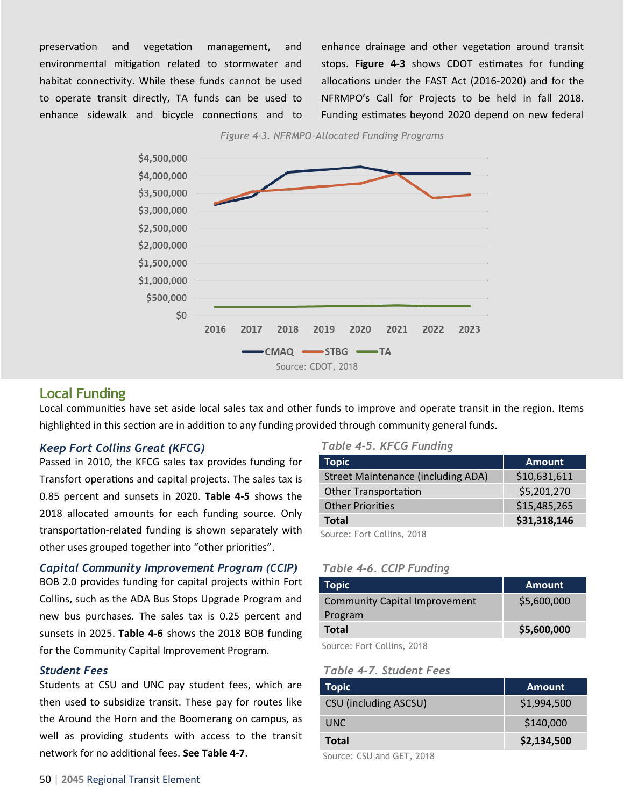preservation and vegetation management, and environmental mitigation related to stormwater and habitat connectivity. While these funds cannot be used to operate transit directly, TA funds can be used to enhance sidewalk and bicycle connections and to enhance drainage and other vegetation around transit stops. **Figure 4-3** shows CDOT estimates for funding allocations under the FAST Act (2016-2020) and for the NFRMPO's Call for Projects to be held in fall 2018. Funding estimates beyond 2020 depend on new federal





#### **Local Funding**

Local communities have set aside local sales tax and other funds to improve and operate transit in the region. Items highlighted in this section are in addition to any funding provided through community general funds.

#### *Keep Fort Collins Great (KFCG)*

Passed in 2010, the KFCG sales tax provides funding for Transfort operations and capital projects. The sales tax is 0.85 percent and sunsets in 2020. **Table 4-5** shows the 2018 allocated amounts for each funding source. Only transportation-related funding is shown separately with other uses grouped together into "other priorities".

*Capital Community Improvement Program (CCIP)*

BOB 2.0 provides funding for capital projects within Fort Collins, such as the ADA Bus Stops Upgrade Program and new bus purchases. The sales tax is 0.25 percent and sunsets in 2025. **Table 4-6** shows the 2018 BOB funding for the Community Capital Improvement Program.

#### *Student Fees*

Students at CSU and UNC pay student fees, which are then used to subsidize transit. These pay for routes like the Around the Horn and the Boomerang on campus, as well as providing students with access to the transit network for no additional fees. **See Table 4-7**.

#### *Table 4-5. KFCG Funding*

| Topic                                     | <b>Amount</b> |
|-------------------------------------------|---------------|
| <b>Street Maintenance (including ADA)</b> | \$10,631,611  |
| <b>Other Transportation</b>               | \$5,201,270   |
| <b>Other Priorities</b>                   | \$15,485,265  |
| <b>Total</b>                              | \$31,318,146  |
| Courset Fort Collins 2010                 |               |

Source: Fort Collins, 2018

#### *Table 4-6. CCIP Funding*

| <b>Topic</b>                         | <b>Amount</b> |
|--------------------------------------|---------------|
| <b>Community Capital Improvement</b> | \$5,600,000   |
| Program                              |               |
| <b>Total</b>                         | \$5,600,000   |
| _ _ _  _ _ _                         |               |

Source: Fort Collins, 2018

#### *Table 4-7. Student Fees*

| <b>Topic</b>                 | <b>Amount</b> |
|------------------------------|---------------|
| <b>CSU (including ASCSU)</b> | \$1,994,500   |
| UNC.                         | \$140,000     |
| Total                        | \$2,134,500   |

Source: CSU and GET, 2018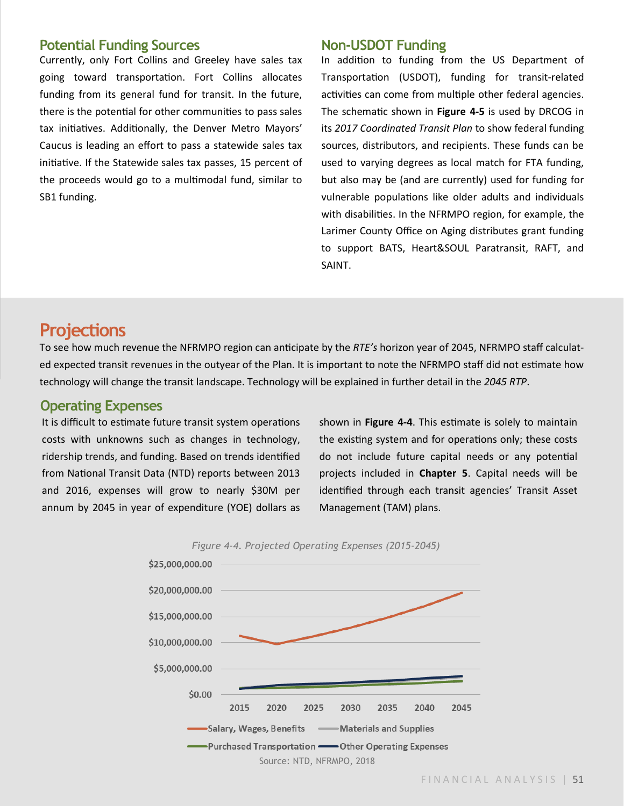#### **Potential Funding Sources**

Currently, only Fort Collins and Greeley have sales tax going toward transportation. Fort Collins allocates funding from its general fund for transit. In the future, there is the potential for other communities to pass sales tax initiatives. Additionally, the Denver Metro Mayors' Caucus is leading an effort to pass a statewide sales tax initiative. If the Statewide sales tax passes, 15 percent of the proceeds would go to a multimodal fund, similar to SB1 funding.

#### **Non-USDOT Funding**

In addition to funding from the US Department of Transportation (USDOT), funding for transit-related activities can come from multiple other federal agencies. The schematic shown in **Figure 4-5** is used by DRCOG in its *2017 Coordinated Transit Plan* to show federal funding sources, distributors, and recipients. These funds can be used to varying degrees as local match for FTA funding, but also may be (and are currently) used for funding for vulnerable populations like older adults and individuals with disabilities. In the NFRMPO region, for example, the Larimer County Office on Aging distributes grant funding to support BATS, Heart&SOUL Paratransit, RAFT, and SAINT.

# **Projections**

To see how much revenue the NFRMPO region can anticipate by the *RTE's* horizon year of 2045, NFRMPO staff calculated expected transit revenues in the outyear of the Plan. It is important to note the NFRMPO staff did not estimate how technology will change the transit landscape. Technology will be explained in further detail in the *2045 RTP*.

#### **Operating Expenses**

It is difficult to estimate future transit system operations costs with unknowns such as changes in technology, ridership trends, and funding. Based on trends identified from National Transit Data (NTD) reports between 2013 and 2016, expenses will grow to nearly \$30M per annum by 2045 in year of expenditure (YOE) dollars as shown in **Figure 4-4**. This estimate is solely to maintain the existing system and for operations only; these costs do not include future capital needs or any potential projects included in **Chapter 5**. Capital needs will be identified through each transit agencies' Transit Asset Management (TAM) plans.

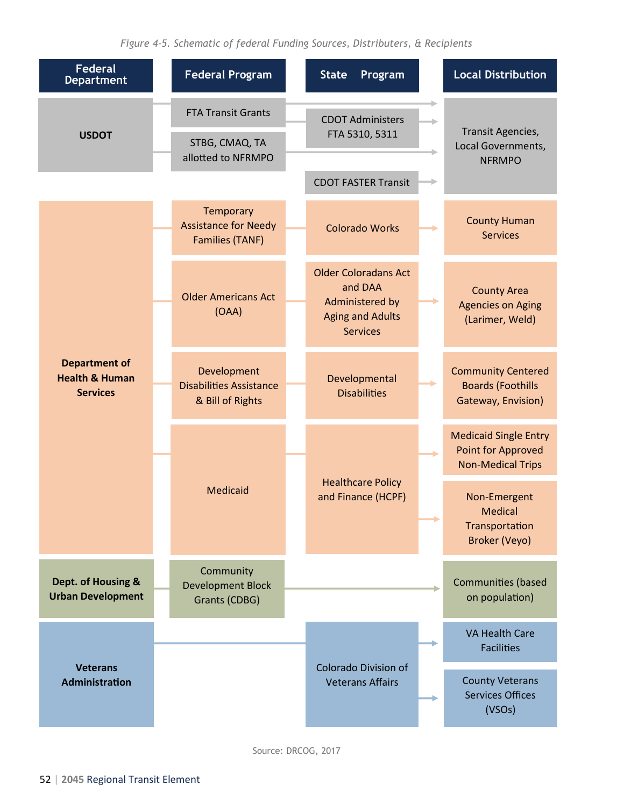| <b>Federal</b><br><b>Department</b>                                  | <b>Federal Program</b>                                             | <b>State</b><br>Program                                                                                        | <b>Local Distribution</b>                                                             |
|----------------------------------------------------------------------|--------------------------------------------------------------------|----------------------------------------------------------------------------------------------------------------|---------------------------------------------------------------------------------------|
| <b>USDOT</b>                                                         | <b>FTA Transit Grants</b><br>STBG, CMAQ, TA<br>allotted to NFRMPO  | <b>CDOT Administers</b><br>FTA 5310, 5311                                                                      | Transit Agencies,<br>Local Governments,                                               |
|                                                                      |                                                                    | <b>CDOT FASTER Transit</b>                                                                                     | <b>NFRMPO</b>                                                                         |
|                                                                      | Temporary<br><b>Assistance for Needy</b><br><b>Families (TANF)</b> | <b>Colorado Works</b>                                                                                          | <b>County Human</b><br><b>Services</b>                                                |
|                                                                      | <b>Older Americans Act</b><br>(OAA)                                | <b>Older Coloradans Act</b><br>and DAA<br><b>Administered by</b><br><b>Aging and Adults</b><br><b>Services</b> | <b>County Area</b><br><b>Agencies on Aging</b><br>(Larimer, Weld)                     |
| <b>Department of</b><br><b>Health &amp; Human</b><br><b>Services</b> | Development<br><b>Disabilities Assistance</b><br>& Bill of Rights  | Developmental<br><b>Disabilities</b>                                                                           | <b>Community Centered</b><br><b>Boards (Foothills</b><br>Gateway, Envision)           |
|                                                                      |                                                                    |                                                                                                                | <b>Medicaid Single Entry</b><br><b>Point for Approved</b><br><b>Non-Medical Trips</b> |
|                                                                      | Medicaid                                                           | <b>Healthcare Policy</b><br>and Finance (HCPF)                                                                 | Non-Emergent<br>Medical<br>Transportation<br>Broker (Veyo)                            |
| Dept. of Housing &<br><b>Urban Development</b>                       | Community<br><b>Development Block</b><br>Grants (CDBG)             |                                                                                                                | <b>Communities (based</b><br>on population)                                           |
|                                                                      |                                                                    |                                                                                                                | <b>VA Health Care</b><br><b>Facilities</b>                                            |
| <b>Veterans</b><br><b>Administration</b>                             |                                                                    | <b>Colorado Division of</b><br><b>Veterans Affairs</b>                                                         | <b>County Veterans</b><br><b>Services Offices</b><br>(VSOs)                           |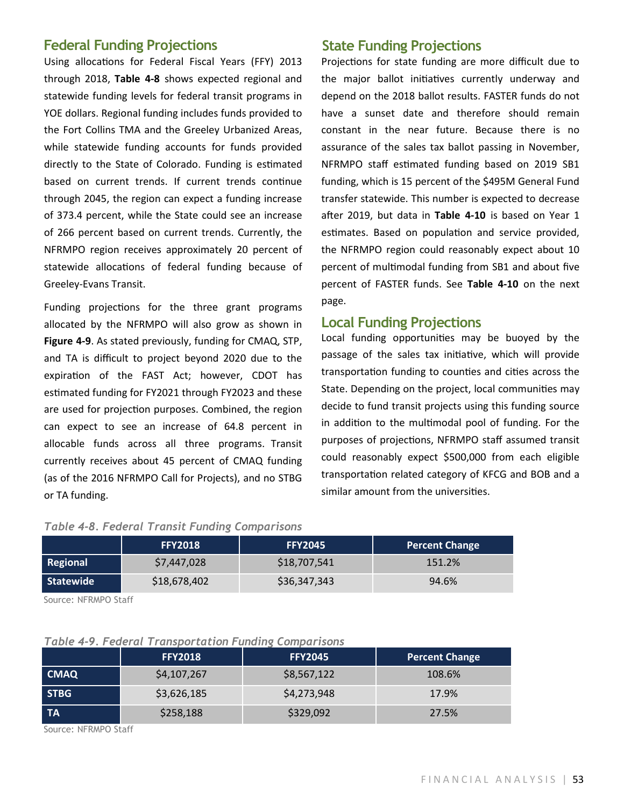#### **Federal Funding Projections State Funding Projections**

Using allocations for Federal Fiscal Years (FFY) 2013 through 2018, **Table 4-8** shows expected regional and statewide funding levels for federal transit programs in YOE dollars. Regional funding includes funds provided to the Fort Collins TMA and the Greeley Urbanized Areas, while statewide funding accounts for funds provided directly to the State of Colorado. Funding is estimated based on current trends. If current trends continue through 2045, the region can expect a funding increase of 373.4 percent, while the State could see an increase of 266 percent based on current trends. Currently, the NFRMPO region receives approximately 20 percent of statewide allocations of federal funding because of Greeley-Evans Transit.

Funding projections for the three grant programs allocated by the NFRMPO will also grow as shown in **Figure 4-9**. As stated previously, funding for CMAQ, STP, and TA is difficult to project beyond 2020 due to the expiration of the FAST Act; however, CDOT has estimated funding for FY2021 through FY2023 and these are used for projection purposes. Combined, the region can expect to see an increase of 64.8 percent in allocable funds across all three programs. Transit currently receives about 45 percent of CMAQ funding (as of the 2016 NFRMPO Call for Projects), and no STBG or TA funding.

Projections for state funding are more difficult due to the major ballot initiatives currently underway and depend on the 2018 ballot results. FASTER funds do not have a sunset date and therefore should remain constant in the near future. Because there is no assurance of the sales tax ballot passing in November, NFRMPO staff estimated funding based on 2019 SB1 funding, which is 15 percent of the \$495M General Fund transfer statewide. This number is expected to decrease after 2019, but data in **Table 4-10** is based on Year 1 estimates. Based on population and service provided, the NFRMPO region could reasonably expect about 10 percent of multimodal funding from SB1 and about five percent of FASTER funds. See **Table 4-10** on the next page.

#### **Local Funding Projections**

Local funding opportunities may be buoyed by the passage of the sales tax initiative, which will provide transportation funding to counties and cities across the State. Depending on the project, local communities may decide to fund transit projects using this funding source in addition to the multimodal pool of funding. For the purposes of projections, NFRMPO staff assumed transit could reasonably expect \$500,000 from each eligible transportation related category of KFCG and BOB and a similar amount from the universities.

#### *Table 4-8. Federal Transit Funding Comparisons*

|                 | <b>FFY2018</b> | <b>FFY2045</b> | <b>Percent Change</b> |
|-----------------|----------------|----------------|-----------------------|
| <b>Regional</b> | \$7,447,028    | \$18,707,541   | 151.2%                |
| Statewide       | \$18,678,402   | \$36,347,343   | 94.6%                 |

Source: NFRMPO Staff

#### *Table 4-9. Federal Transportation Funding Comparisons*

|             | <b>FFY2018</b> | <b>FFY2045</b> | <b>Percent Change</b> |
|-------------|----------------|----------------|-----------------------|
| <b>CMAQ</b> | \$4,107,267    | \$8,567,122    | 108.6%                |
| <b>STBG</b> | \$3,626,185    | \$4,273,948    | 17.9%                 |
| <b>TA</b>   | \$258,188      | \$329,092      | 27.5%                 |

Source: NFRMPO Staff